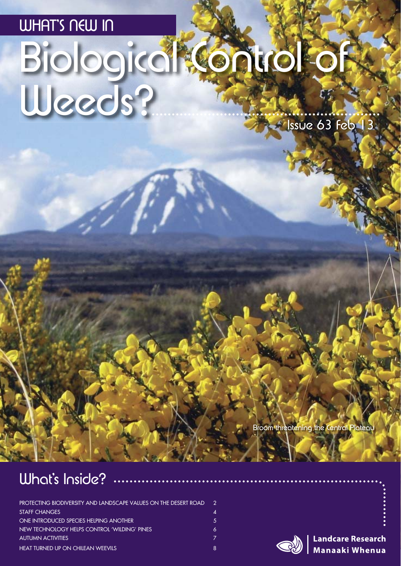## WHAT'S NEW IN

# Biological Control of Weeds?

Issue 63 Feb 13

Broom threatening the Central Plateau

### What's Inside?

| PROTECTING BIODIVERSITY AND LANDSCAPE VALUES ON THE DESERT ROAD | $\mathcal{P}$    |
|-----------------------------------------------------------------|------------------|
| <b>STAFF CHANGES</b>                                            | $\blacktriangle$ |
| <b>ONE INTRODUCED SPECIES HELPING ANOTHER</b>                   | 5.               |
| NEW TECHNOLOGY HELPS CONTROL 'WILDING' PINES                    | 6                |
| <b>AUTUMN ACTIVITIES</b>                                        |                  |
| <b>HEAT TURNED UP ON CHILEAN WEEVILS</b>                        | 8                |



**Landcare Research Manaaki Whenua**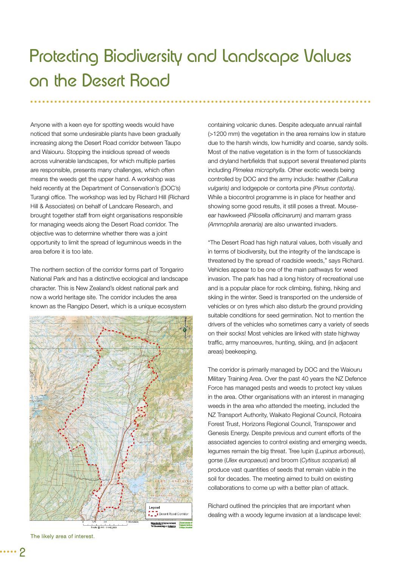# Protecting Biodiversity and Landscape Values on the Desert Road

Anyone with a keen eye for spotting weeds would have noticed that some undesirable plants have been gradually increasing along the Desert Road corridor between Taupo and Waiouru. Stopping the insidious spread of weeds across vulnerable landscapes, for which multiple parties are responsible, presents many challenges, which often means the weeds get the upper hand. A workshop was held recently at the Department of Conservation's (DOC's) Turangi office. The workshop was led by Richard Hill (Richard Hill & Associates) on behalf of Landcare Research, and brought together staff from eight organisations responsible for managing weeds along the Desert Road corridor. The objective was to determine whether there was a joint opportunity to limit the spread of leguminous weeds in the area before it is too late.

The northern section of the corridor forms part of Tongariro National Park and has a distinctive ecological and landscape character. This is New Zealand's oldest national park and now a world heritage site. The corridor includes the area known as the Rangipo Desert, which is a unique ecosystem



The likely area of interest.

containing volcanic dunes. Despite adequate annual rainfall (>1200 mm) the vegetation in the area remains low in stature due to the harsh winds, low humidity and coarse, sandy soils. Most of the native vegetation is in the form of tussocklands and dryland herbfields that support several threatened plants including *Pimelea microphylla.* Other exotic weeds being controlled by DOC and the army include: heather *(Calluna vulgaris)* and lodgepole or contorta pine *(Pinus contorta)*. While a biocontrol programme is in place for heather and showing some good results, it still poses a threat. Mouseear hawkweed (Pilosella officinarum) and marram grass *(Ammophila arenaria)* are also unwanted invaders.

"The Desert Road has high natural values, both visually and in terms of biodiversity, but the integrity of the landscape is threatened by the spread of roadside weeds," says Richard. Vehicles appear to be one of the main pathways for weed invasion. The park has had a long history of recreational use and is a popular place for rock climbing, fishing, hiking and skiing in the winter. Seed is transported on the underside of vehicles or on tyres which also disturb the ground providing suitable conditions for seed germination. Not to mention the drivers of the vehicles who sometimes carry a variety of seeds on their socks! Most vehicles are linked with state highway traffic, army manoeuvres, hunting, skiing, and (in adjacent areas) beekeeping.

The corridor is primarily managed by DOC and the Waiouru Military Training Area. Over the past 40 years the NZ Defence Force has managed pests and weeds to protect key values in the area. Other organisations with an interest in managing weeds in the area who attended the meeting, included the NZ Transport Authority, Waikato Regional Council, Rotoaira Forest Trust, Horizons Regional Council, Transpower and Genesis Energy. Despite previous and current efforts of the associated agencies to control existing and emerging weeds, legumes remain the big threat. Tree lupin (*Lupinus arboreus*), gorse (*Ulex europaeus*) and broom (*Cytisus scoparius*) all produce vast quantities of seeds that remain viable in the soil for decades. The meeting aimed to build on existing collaborations to come up with a better plan of attack.

Richard outlined the principles that are important when dealing with a woody legume invasion at a landscape level: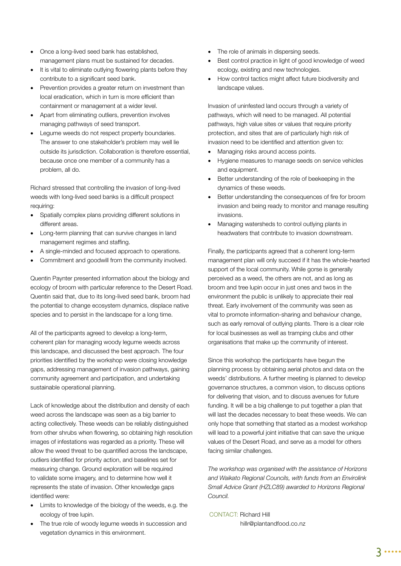- Once a long-lived seed bank has established, management plans must be sustained for decades.
- It is vital to eliminate outlying flowering plants before they contribute to a significant seed bank.
- Prevention provides a greater return on investment than local eradication, which in turn is more efficient than containment or management at a wider level.
- Apart from eliminating outliers, prevention involves managing pathways of seed transport.
- Legume weeds do not respect property boundaries. The answer to one stakeholder's problem may well lie outside its jurisdiction. Collaboration is therefore essential, because once one member of a community has a problem, all do.

Richard stressed that controlling the invasion of long-lived weeds with long-lived seed banks is a difficult prospect requiring:

- Spatially complex plans providing different solutions in different areas.
- Long-term planning that can survive changes in land management regimes and staffing.
- A single-minded and focused approach to operations.
- Commitment and goodwill from the community involved.

Quentin Paynter presented information about the biology and ecology of broom with particular reference to the Desert Road. Quentin said that, due to its long-lived seed bank, broom had the potential to change ecosystem dynamics, displace native species and to persist in the landscape for a long time.

All of the participants agreed to develop a long-term, coherent plan for managing woody legume weeds across this landscape, and discussed the best approach. The four priorities identified by the workshop were closing knowledge gaps, addressing management of invasion pathways, gaining community agreement and participation, and undertaking sustainable operational planning.

Lack of knowledge about the distribution and density of each weed across the landscape was seen as a big barrier to acting collectively. These weeds can be reliably distinguished from other shrubs when flowering, so obtaining high resolution images of infestations was regarded as a priority. These will allow the weed threat to be quantified across the landscape, outliers identified for priority action, and baselines set for measuring change. Ground exploration will be required to validate some imagery, and to determine how well it represents the state of invasion. Other knowledge gaps identified were:

- Limits to knowledge of the biology of the weeds, e.g. the ecology of tree lupin.
- The true role of woody legume weeds in succession and vegetation dynamics in this environment.
- The role of animals in dispersing seeds.
- Best control practice in light of good knowledge of weed ecology, existing and new technologies.
- How control tactics might affect future biodiversity and landscape values.

Invasion of uninfested land occurs through a variety of pathways, which will need to be managed. All potential pathways, high value sites or values that require priority protection, and sites that are of particularly high risk of invasion need to be identified and attention given to:

- Managing risks around access points.
- Hygiene measures to manage seeds on service vehicles and equipment.
- Better understanding of the role of beekeeping in the dynamics of these weeds.
- Better understanding the consequences of fire for broom invasion and being ready to monitor and manage resulting invasions.
- Managing watersheds to control outlying plants in headwaters that contribute to invasion downstream.

Finally, the participants agreed that a coherent long-term management plan will only succeed if it has the whole-hearted support of the local community. While gorse is generally perceived as a weed, the others are not, and as long as broom and tree lupin occur in just ones and twos in the environment the public is unlikely to appreciate their real threat. Early involvement of the community was seen as vital to promote information-sharing and behaviour change, such as early removal of outlying plants. There is a clear role for local businesses as well as tramping clubs and other organisations that make up the community of interest.

Since this workshop the participants have begun the planning process by obtaining aerial photos and data on the weeds' distributions. A further meeting is planned to develop governance structures, a common vision, to discuss options for delivering that vision, and to discuss avenues for future funding. It will be a big challenge to put together a plan that will last the decades necessary to beat these weeds. We can only hope that something that started as a modest workshop will lead to a powerful joint initiative that can save the unique values of the Desert Road, and serve as a model for others facing similar challenges.

*The workshop was organised with the assistance of Horizons and Waikato Regional Councils, with funds from an Envirolink Small Advice Grant (HZLC89) awarded to Horizons Regional Council.*

#### CONTACT: Richard Hill

hillr@plantandfood.co.nz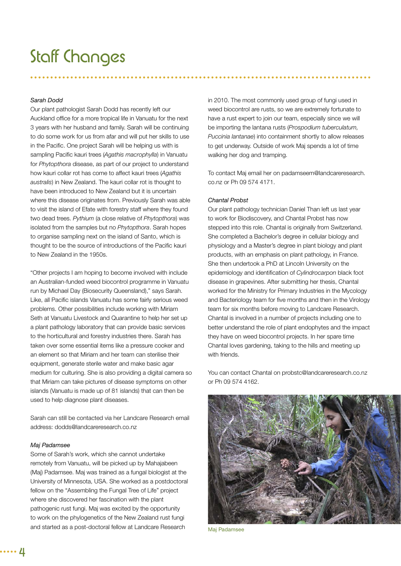## Staff Changes

#### *Sarah Dodd*

Our plant pathologist Sarah Dodd has recently left our Auckland office for a more tropical life in Vanuatu for the next 3 years with her husband and family. Sarah will be continuing to do some work for us from afar and will put her skills to use in the Pacific. One project Sarah will be helping us with is sampling Pacific kauri trees (Agathis macrophylla) in Vanuatu for *Phytopthora* disease, as part of our project to understand how kauri collar rot has come to affect kauri trees (*Agathis australis*) in New Zealand. The kauri collar rot is thought to have been introduced to New Zealand but it is uncertain where this disease originates from. Previously Sarah was able to visit the island of Efate with forestry staff where they found two dead trees. *Pythium* (a close relative of *Phytopthora*) was isolated from the samples but no *Phytopthora*. Sarah hopes to organise sampling next on the island of Santo, which is thought to be the source of introductions of the Pacific kauri to New Zealand in the 1950s.

"Other projects I am hoping to become involved with include an Australian-funded weed biocontrol programme in Vanuatu run by Michael Day (Biosecurity Queensland)," says Sarah. Like, all Pacific islands Vanuatu has some fairly serious weed problems. Other possibilities include working with Miriam Seth at Vanuatu Livestock and Quarantine to help her set up a plant pathology laboratory that can provide basic services to the horticultural and forestry industries there. Sarah has taken over some essential items like a pressure cooker and an element so that Miriam and her team can sterilise their equipment, generate sterile water and make basic agar medium for culturing. She is also providing a digital camera so that Miriam can take pictures of disease symptoms on other islands (Vanuatu is made up of 81 islands) that can then be used to help diagnose plant diseases.

Sarah can still be contacted via her Landcare Research email address: dodds@landcareresearch.co.nz

#### *Maj Padamsee*

Some of Sarah's work, which she cannot undertake remotely from Vanuatu, will be picked up by Mahajabeen (Maj) Padamsee. Maj was trained as a fungal biologist at the University of Minnesota, USA. She worked as a postdoctoral fellow on the "Assembling the Fungal Tree of Life" project where she discovered her fascination with the plant pathogenic rust fungi. Maj was excited by the opportunity to work on the phylogenetics of the New Zealand rust fungi and started as a post-doctoral fellow at Landcare Research

in 2010. The most commonly used group of fungi used in weed biocontrol are rusts, so we are extremely fortunate to have a rust expert to join our team, especially since we will be importing the lantana rusts (*Prospodium tuberculatum, Puccinia lantanae*) into containment shortly to allow releases to get underway. Outside of work Maj spends a lot of time walking her dog and tramping.

To contact Maj email her on padamseem@landcareresearch. co.nz or Ph 09 574 4171.

#### *Chantal Probst*

Our plant pathology technician Daniel Than left us last year to work for Biodiscovery, and Chantal Probst has now stepped into this role. Chantal is originally from Switzerland. She completed a Bachelor's degree in cellular biology and physiology and a Master's degree in plant biology and plant products, with an emphasis on plant pathology, in France. She then undertook a PhD at Lincoln University on the epidemiology and identification of *Cylindrocarpon* black foot disease in grapevines. After submitting her thesis, Chantal worked for the Ministry for Primary Industries in the Mycology and Bacteriology team for five months and then in the Virology team for six months before moving to Landcare Research. Chantal is involved in a number of projects including one to better understand the role of plant endophytes and the impact they have on weed biocontrol projects. In her spare time Chantal loves gardening, taking to the hills and meeting up with friends.

You can contact Chantal on probstc@landcareresearch.co.nz or Ph 09 574 4162.



Maj Padamsee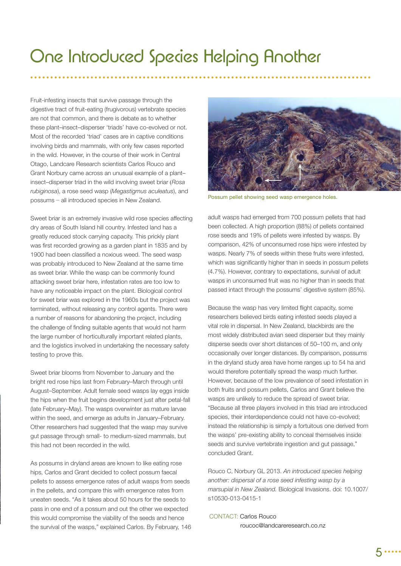# One Introduced Species Helping Another

Fruit-infesting insects that survive passage through the digestive tract of fruit-eating (frugivorous) vertebrate species are not that common, and there is debate as to whether these plant–insect–disperser 'triads' have co-evolved or not. Most of the recorded 'triad' cases are in captive conditions involving birds and mammals, with only few cases reported in the wild. However, in the course of their work in Central Otago, Landcare Research scientists Carlos Rouco and Grant Norbury came across an unusual example of a plant– insect–disperser triad in the wild involving sweet briar (*Rosa rubiginosa*), a rose seed wasp (*Megastigmus aculeatus*), and possums − all introduced species in New Zealand.

Sweet briar is an extremely invasive wild rose species affecting dry areas of South Island hill country. Infested land has a greatly reduced stock carrying capacity. This prickly plant was first recorded growing as a garden plant in 1835 and by 1900 had been classified a noxious weed. The seed wasp was probably introduced to New Zealand at the same time as sweet briar. While the wasp can be commonly found attacking sweet briar here, infestation rates are too low to have any noticeable impact on the plant. Biological control for sweet briar was explored in the 1960s but the project was terminated, without releasing any control agents. There were a number of reasons for abandoning the project, including the challenge of finding suitable agents that would not harm the large number of horticulturally important related plants, and the logistics involved in undertaking the necessary safety testing to prove this.

Sweet briar blooms from November to January and the bright red rose hips last from February–March through until August–September. Adult female seed wasps lay eggs inside the hips when the fruit begins development just after petal-fall (late February–May). The wasps overwinter as mature larvae within the seed, and emerge as adults in January–February. Other researchers had suggested that the wasp may survive gut passage through small- to medium-sized mammals, but this had not been recorded in the wild.

As possums in dryland areas are known to like eating rose hips, Carlos and Grant decided to collect possum faecal pellets to assess emergence rates of adult wasps from seeds in the pellets, and compare this with emergence rates from uneaten seeds. "As it takes about 50 hours for the seeds to pass in one end of a possum and out the other we expected this would compromise the viability of the seeds and hence the survival of the wasps," explained Carlos. By February, 146



Possum pellet showing seed wasp emergence holes.

adult wasps had emerged from 700 possum pellets that had been collected. A high proportion (88%) of pellets contained rose seeds and 19% of pellets were infested by wasps. By comparison, 42% of unconsumed rose hips were infested by wasps. Nearly 7% of seeds within these fruits were infested, which was significantly higher than in seeds in possum pellets (4.7%). However, contrary to expectations, survival of adult wasps in unconsumed fruit was no higher than in seeds that passed intact through the possums' digestive system (85%).

Because the wasp has very limited flight capacity, some researchers believed birds eating infested seeds played a vital role in dispersal. In New Zealand, blackbirds are the most widely distributed avian seed disperser but they mainly disperse seeds over short distances of 50–100 m, and only occasionally over longer distances. By comparison, possums in the dryland study area have home ranges up to 54 ha and would therefore potentially spread the wasp much further. However, because of the low prevalence of seed infestation in both fruits and possum pellets, Carlos and Grant believe the wasps are unlikely to reduce the spread of sweet briar. "Because all three players involved in this triad are introduced species, their interdependence could not have co-evolved; instead the relationship is simply a fortuitous one derived from the wasps' pre-existing ability to conceal themselves inside seeds and survive vertebrate ingestion and gut passage," concluded Grant.

Rouco C, Norbury GL 2013. *An introduced species helping another: dispersal of a rose seed infesting wasp by a marsupial in New Zealand.* Biological Invasions. doi: 10.1007/ s10530-013-0415-1

CONTACT: Carlos Rouco roucoc@landcareresearch.co.nz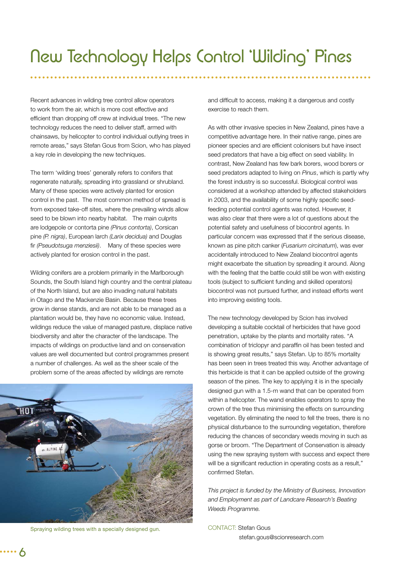Recent advances in wilding tree control allow operators to work from the air, which is more cost effective and efficient than dropping off crew at individual trees. "The new technology reduces the need to deliver staff, armed with chainsaws, by helicopter to control individual outlying trees in remote areas," says Stefan Gous from Scion, who has played a key role in developing the new techniques.

The term 'wilding trees' generally refers to conifers that regenerate naturally, spreading into grassland or shrubland. Many of these species were actively planted for erosion control in the past. The most common method of spread is from exposed take-off sites, where the prevailing winds allow seed to be blown into nearby habitat. The main culprits are lodgepole or contorta pine *(Pinus contorta)*, Corsican pine *(P. nigra)*, European larch *(Larix decidua)* and Douglas fir *(Pseudotsuga menziesii)*. Many of these species were actively planted for erosion control in the past.

Wilding conifers are a problem primarily in the Marlborough Sounds, the South Island high country and the central plateau of the North Island, but are also invading natural habitats in Otago and the Mackenzie Basin. Because these trees grow in dense stands, and are not able to be managed as a plantation would be, they have no economic value. Instead, wildings reduce the value of managed pasture, displace native biodiversity and alter the character of the landscape. The impacts of wildings on productive land and on conservation values are well documented but control programmes present a number of challenges. As well as the sheer scale of the problem some of the areas affected by wildings are remote



Spraying wilding trees with a specially designed gun.

and difficult to access, making it a dangerous and costly exercise to reach them.

As with other invasive species in New Zealand, pines have a competitive advantage here. In their native range, pines are pioneer species and are efficient colonisers but have insect seed predators that have a big effect on seed viability. In contrast, New Zealand has few bark borers, wood borers or seed predators adapted to living on *Pinus*, which is partly why the forest industry is so successful. Biological control was considered at a workshop attended by affected stakeholders in 2003, and the availability of some highly specific seedfeeding potential control agents was noted. However, it was also clear that there were a lot of questions about the potential safety and usefulness of biocontrol agents. In particular concern was expressed that if the serious disease, known as pine pitch canker (*Fusarium circinatum*), was ever accidentally introduced to New Zealand biocontrol agents might exacerbate the situation by spreading it around. Along with the feeling that the battle could still be won with existing tools (subject to sufficient funding and skilled operators) biocontrol was not pursued further, and instead efforts went into improving existing tools.

The new technology developed by Scion has involved developing a suitable cocktail of herbicides that have good penetration, uptake by the plants and mortality rates. "A combination of triclopyr and paraffin oil has been tested and is showing great results," says Stefan. Up to 85% mortality has been seen in trees treated this way. Another advantage of this herbicide is that it can be applied outside of the growing season of the pines. The key to applying it is in the specially designed gun with a 1.5-m wand that can be operated from within a helicopter. The wand enables operators to spray the crown of the tree thus minimising the effects on surrounding vegetation. By eliminating the need to fell the trees, there is no physical disturbance to the surrounding vegetation, therefore reducing the chances of secondary weeds moving in such as gorse or broom. "The Department of Conservation is already using the new spraying system with success and expect there will be a significant reduction in operating costs as a result," confirmed Stefan.

*This project is funded by the Ministry of Business, Innovation and Employment as part of Landcare Research's Beating Weeds Programme.*

CONTACT: Stefan Gous stefan.gous@scionresearch.com

6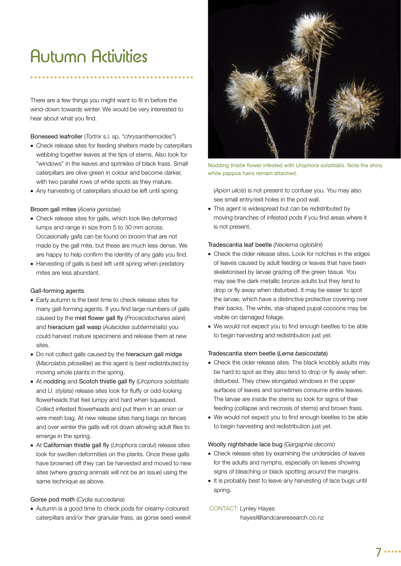# Autumn Activities

There are a few things you might want to fit in before the wind-down towards winter. We would be very interested to hear about what you find.

#### Boneseed leafroller (*Tortrix* s.l. sp. "*chrysanthemoides*")

- Check release sites for feeding shelters made by caterpillars webbing together leaves at the tips of stems. Also look for "windows" in the leaves and sprinkles of black frass. Small caterpillars are olive-green in colour and become darker, with two parallel rows of white spots as they mature.
- Any harvesting of caterpillars should be left until spring.

#### Broom gall mites (*Aceria genistae*)

- Check release sites for galls, which look like deformed lumps and range in size from 5 to 30 mm across. Occasionally galls can be found on broom that are not made by the gall mite, but these are much less dense. We are happy to help confirm the identity of any galls you find.
- Harvesting of galls is best left until spring when predatory mites are less abundant.

#### Gall-forming agents

- Early autumn is the best time to check release sites for many gall-forming agents. If you find large numbers of galls caused by the mist flower gall fly (*Procecidochares alani*) and hieracium gall wasp (*Aulacidea subterminalis*) you could harvest mature specimens and release them at new sites.
- Do not collect galls caused by the hieracium gall midge (*Macrolabis pilosellae*) as this agent is best redistributed by moving whole plants in the spring.
- At nodding and Scotch thistle gall fly (*Urophora solstitialis* and *U. stylata*) release sites look for fluffy or odd-looking flowerheads that feel lumpy and hard when squeezed. Collect infested flowerheads and put them in an onion or wire mesh bag. At new release sites hang bags on fences and over winter the galls will rot down allowing adult flies to emerge in the spring.
- At Californian thistle gall fly (*Urophora cardui*) release sites look for swollen deformities on the plants. Once these galls have browned off they can be harvested and moved to new sites (where grazing animals will not be an issue) using the same technique as above.

#### Gorse pod moth (*Cydia succedana*)

 Autumn is a good time to check pods for creamy-coloured caterpillars and/or their granular frass, as gorse seed weevil



Nodding thistle flower infested with *Urophora solstitialis*. Note the shiny white pappus hairs remain attached.

(*Apion ulicis*) is not present to confuse you. You may also see small entry/exit holes in the pod wall.

 This agent is widespread but can be redistributed by moving branches of infested pods if you find areas where it is not present.

#### Tradescantia leaf beetle (*Neolema ogloblini*)

- Check the older release sites. Look for notches in the edges of leaves caused by adult feeding or leaves that have been skeletonised by larvae grazing off the green tissue. You may see the dark metallic bronze adults but they tend to drop or fly away when disturbed. It may be easier to spot the larvae, which have a distinctive protective covering over their backs. The white, star-shaped pupal cocoons may be visible on damaged foliage.
- We would not expect you to find enough beetles to be able to begin harvesting and redistribution just yet.

#### Tradescantia stem beetle (*Lema basicostata*)

- Check the older release sites. The black knobbly adults may be hard to spot as they also tend to drop or fly away when disturbed. They chew elongated windows in the upper surfaces of leaves and sometimes consume entire leaves. The larvae are inside the stems so look for signs of their feeding (collapse and necrosis of stems) and brown frass.
- We would not expect you to find enough beetles to be able to begin harvesting and redistribution just yet.

#### Woolly nightshade lace bug (*Gargaphia decoris*)

- Check release sites by examining the undersides of leaves for the adults and nymphs, especially on leaves showing signs of bleaching or black spotting around the margins.
- It is probably best to leave any harvesting of lace bugs until spring.

#### CONTACT: Lynley Hayes

hayesl@landcareresearch.co.nz